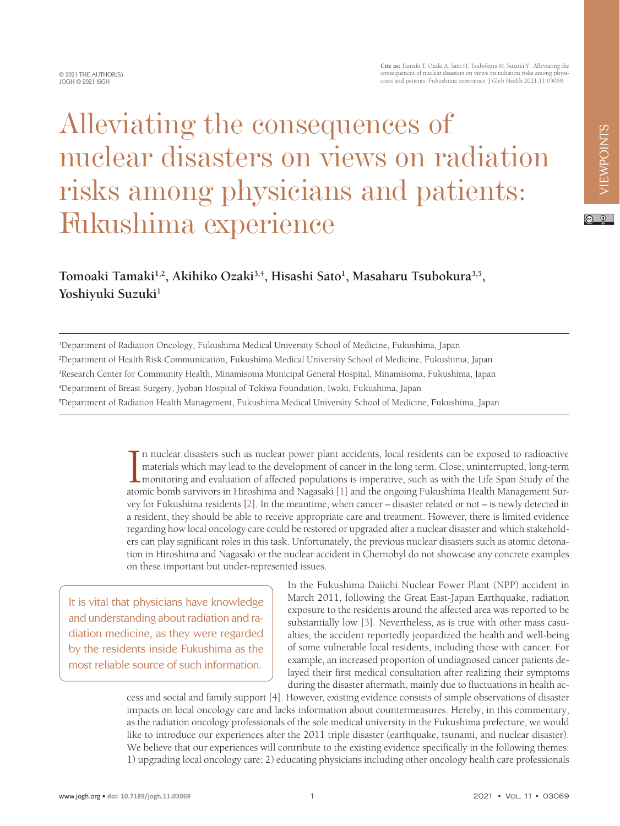$\circ$   $\circ$ 

## **Cite as:** Tamaki T, Ozaki A, Sato H, Tsubokura M, Suzuki Y. Alleviating the consequences of nuclear disasters on views on radiation risks among physi-cians and patients: Fukushima experience. J Glob Health 2021;11:03069.

# Alleviating the consequences of nuclear disasters on views on radiation risks among physicians and patients: Fukushima experience

**Tomoaki Tamaki1,2, Akihiko Ozaki3,4, Hisashi Sato1 , Masaharu Tsubokura3,5,**  Yoshiyuki Suzuki<sup>1</sup>

 Department of Radiation Oncology, Fukushima Medical University School of Medicine, Fukushima, Japan Department of Health Risk Communication, Fukushima Medical University School of Medicine, Fukushima, Japan Research Center for Community Health, Minamisoma Municipal General Hospital, Minamisoma, Fukushima, Japan Department of Breast Surgery, Jyoban Hospital of Tokiwa Foundation, Iwaki, Fukushima, Japan Department of Radiation Health Management, Fukushima Medical University School of Medicine, Fukushima, Japan

> In nuclear disasters such as nuclear power plant accidents, local residents can be exposed to radioactive materials which may lead to the development of cancer in the long term. Close, uninterrupted, long-term monitoring a n nuclear disasters such as nuclear power plant accidents, local residents can be exposed to radioactive materials which may lead to the development of cancer in the long term. Close, uninterrupted, long-term monitoring and evaluation of affected populations is imperative, such as with the Life Span Study of the vey for Fukushima residents [\[2](#page-3-1)]. In the meantime, when cancer – disaster related or not – is newly detected in a resident, they should be able to receive appropriate care and treatment. However, there is limited evidence regarding how local oncology care could be restored or upgraded after a nuclear disaster and which stakeholders can play significant roles in this task. Unfortunately, the previous nuclear disasters such as atomic detonation in Hiroshima and Nagasaki or the nuclear accident in Chernobyl do not showcase any concrete examples on these important but under-represented issues.

It is vital that physicians have knowledge and understanding about radiation and radiation medicine, as they were regarded by the residents inside Fukushima as the most reliable source of such information.

In the Fukushima Daiichi Nuclear Power Plant (NPP) accident in March 2011, following the Great East-Japan Earthquake, radiation exposure to the residents around the affected area was reported to be substantially low [\[3](#page-3-2)]. Nevertheless, as is true with other mass casualties, the accident reportedly jeopardized the health and well-being of some vulnerable local residents, including those with cancer. For example, an increased proportion of undiagnosed cancer patients delayed their first medical consultation after realizing their symptoms during the disaster aftermath, mainly due to fluctuations in health ac-

cess and social and family support [\[4\]](#page-3-3). However, existing evidence consists of simple observations of disaster impacts on local oncology care and lacks information about countermeasures. Hereby, in this commentary, as the radiation oncology professionals of the sole medical university in the Fukushima prefecture, we would like to introduce our experiences after the 2011 triple disaster (earthquake, tsunami, and nuclear disaster). We believe that our experiences will contribute to the existing evidence specifically in the following themes: 1) upgrading local oncology care; 2) educating physicians including other oncology health care professionals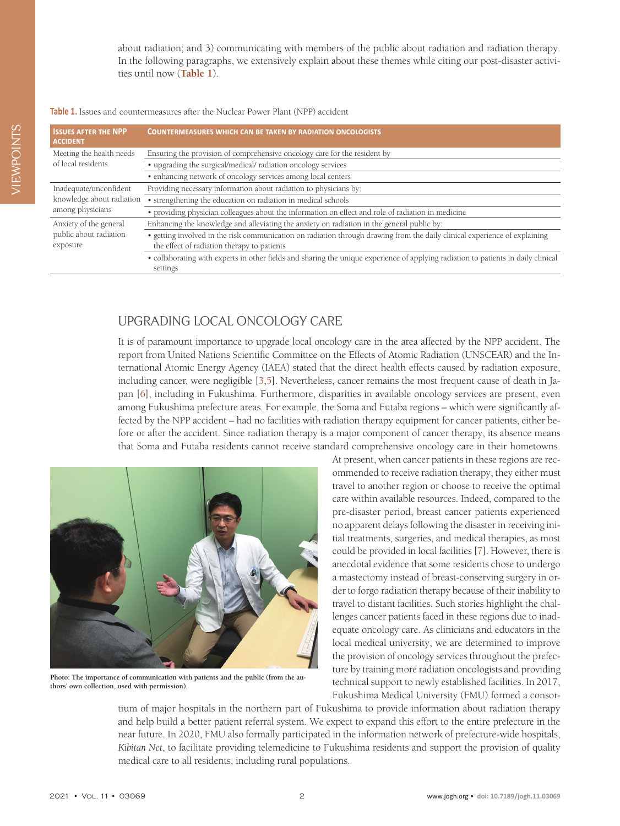about radiation; and 3) communicating with members of the public about radiation and radiation therapy. In the following paragraphs, we extensively explain about these themes while citing our post-disaster activities until now (**[Table 1](#page-1-0)**).

### <span id="page-1-0"></span>**Table 1.** Issues and countermeasures after the Nuclear Power Plant (NPP) accident

| <b>ISSUES AFTER THE NPP</b><br><b>ACCIDENT</b>                          | <b>COUNTERMEASURES WHICH CAN BE TAKEN BY RADIATION ONCOLOGISTS</b>                                                                                                        |
|-------------------------------------------------------------------------|---------------------------------------------------------------------------------------------------------------------------------------------------------------------------|
| Meeting the health needs<br>of local residents                          | Ensuring the provision of comprehensive oncology care for the resident by                                                                                                 |
|                                                                         | • upgrading the surgical/medical/ radiation oncology services                                                                                                             |
|                                                                         | • enhancing network of oncology services among local centers                                                                                                              |
| Inadequate/unconfident<br>knowledge about radiation<br>among physicians | Providing necessary information about radiation to physicians by:                                                                                                         |
|                                                                         | • strengthening the education on radiation in medical schools                                                                                                             |
|                                                                         | • providing physician colleagues about the information on effect and role of radiation in medicine                                                                        |
| Anxiety of the general<br>public about radiation<br>exposure            | Enhancing the knowledge and alleviating the anxiety on radiation in the general public by:                                                                                |
|                                                                         | • getting involved in the risk communication on radiation through drawing from the daily clinical experience of explaining<br>the effect of radiation therapy to patients |
|                                                                         | · collaborating with experts in other fields and sharing the unique experience of applying radiation to patients in daily clinical<br>settings                            |

## UPGRADING LOCAL ONCOLOGY CARE

It is of paramount importance to upgrade local oncology care in the area affected by the NPP accident. The report from United Nations Scientific Committee on the Effects of Atomic Radiation (UNSCEAR) and the International Atomic Energy Agency (IAEA) stated that the direct health effects caused by radiation exposure, including cancer, were negligible [\[3](#page-3-2)[,5](#page-3-4)]. Nevertheless, cancer remains the most frequent cause of death in Japan [[6\]](#page-3-5), including in Fukushima. Furthermore, disparities in available oncology services are present, even among Fukushima prefecture areas. For example, the Soma and Futaba regions – which were significantly affected by the NPP accident – had no facilities with radiation therapy equipment for cancer patients, either before or after the accident. Since radiation therapy is a major component of cancer therapy, its absence means that Soma and Futaba residents cannot receive standard comprehensive oncology care in their hometowns.



**Photo: The importance of communication with patients and the public (from the authors' own collection, used with permission).**

At present, when cancer patients in these regions are recommended to receive radiation therapy, they either must travel to another region or choose to receive the optimal care within available resources. Indeed, compared to the pre-disaster period, breast cancer patients experienced no apparent delays following the disaster in receiving initial treatments, surgeries, and medical therapies, as most could be provided in local facilities [[7\]](#page-3-6). However, there is anecdotal evidence that some residents chose to undergo a mastectomy instead of breast-conserving surgery in order to forgo radiation therapy because of their inability to travel to distant facilities. Such stories highlight the challenges cancer patients faced in these regions due to inadequate oncology care. As clinicians and educators in the local medical university, we are determined to improve the provision of oncology services throughout the prefecture by training more radiation oncologists and providing technical support to newly established facilities. In 2017, Fukushima Medical University (FMU) formed a consor-

tium of major hospitals in the northern part of Fukushima to provide information about radiation therapy and help build a better patient referral system. We expect to expand this effort to the entire prefecture in the near future. In 2020, FMU also formally participated in the information network of prefecture-wide hospitals, *Kibitan Net*, to facilitate providing telemedicine to Fukushima residents and support the provision of quality medical care to all residents, including rural populations.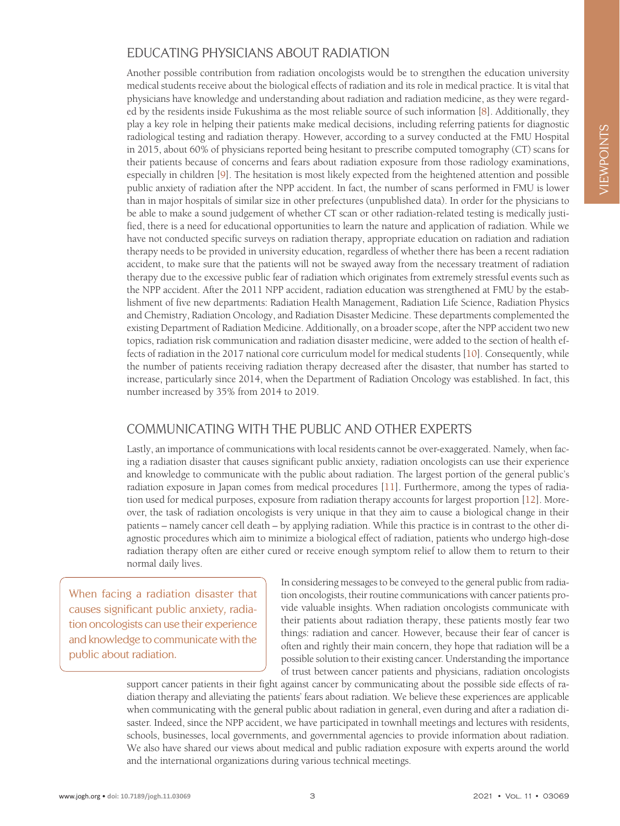# EDUCATING PHYSICIANS ABOUT RADIATION

Another possible contribution from radiation oncologists would be to strengthen the education university medical students receive about the biological effects of radiation and its role in medical practice. It is vital that physicians have knowledge and understanding about radiation and radiation medicine, as they were regarded by the residents inside Fukushima as the most reliable source of such information [[8\]](#page-3-7). Additionally, they play a key role in helping their patients make medical decisions, including referring patients for diagnostic radiological testing and radiation therapy. However, according to a survey conducted at the FMU Hospital in 2015, about 60% of physicians reported being hesitant to prescribe computed tomography (CT) scans for their patients because of concerns and fears about radiation exposure from those radiology examinations, especially in children [[9\]](#page-3-8). The hesitation is most likely expected from the heightened attention and possible public anxiety of radiation after the NPP accident. In fact, the number of scans performed in FMU is lower than in major hospitals of similar size in other prefectures (unpublished data). In order for the physicians to be able to make a sound judgement of whether CT scan or other radiation-related testing is medically justified, there is a need for educational opportunities to learn the nature and application of radiation. While we have not conducted specific surveys on radiation therapy, appropriate education on radiation and radiation therapy needs to be provided in university education, regardless of whether there has been a recent radiation accident, to make sure that the patients will not be swayed away from the necessary treatment of radiation therapy due to the excessive public fear of radiation which originates from extremely stressful events such as the NPP accident. After the 2011 NPP accident, radiation education was strengthened at FMU by the establishment of five new departments: Radiation Health Management, Radiation Life Science, Radiation Physics and Chemistry, Radiation Oncology, and Radiation Disaster Medicine. These departments complemented the existing Department of Radiation Medicine. Additionally, on a broader scope, after the NPP accident two new topics, radiation risk communication and radiation disaster medicine, were added to the section of health effects of radiation in the 2017 national core curriculum model for medical students [\[10](#page-4-0)]. Consequently, while the number of patients receiving radiation therapy decreased after the disaster, that number has started to increase, particularly since 2014, when the Department of Radiation Oncology was established. In fact, this number increased by 35% from 2014 to 2019.

# COMMUNICATING WITH THE PUBLIC AND OTHER EXPERTS

Lastly, an importance of communications with local residents cannot be over-exaggerated. Namely, when facing a radiation disaster that causes significant public anxiety, radiation oncologists can use their experience and knowledge to communicate with the public about radiation. The largest portion of the general public's radiation exposure in Japan comes from medical procedures [\[11\]](#page-4-1). Furthermore, among the types of radiation used for medical purposes, exposure from radiation therapy accounts for largest proportion [[12\]](#page-4-2). Moreover, the task of radiation oncologists is very unique in that they aim to cause a biological change in their patients – namely cancer cell death – by applying radiation. While this practice is in contrast to the other diagnostic procedures which aim to minimize a biological effect of radiation, patients who undergo high-dose radiation therapy often are either cured or receive enough symptom relief to allow them to return to their normal daily lives.

When facing a radiation disaster that causes significant public anxiety, radiation oncologists can use their experience and knowledge to communicate with the public about radiation.

In considering messages to be conveyed to the general public from radiation oncologists, their routine communications with cancer patients provide valuable insights. When radiation oncologists communicate with their patients about radiation therapy, these patients mostly fear two things: radiation and cancer. However, because their fear of cancer is often and rightly their main concern, they hope that radiation will be a possible solution to their existing cancer. Understanding the importance of trust between cancer patients and physicians, radiation oncologists

support cancer patients in their fight against cancer by communicating about the possible side effects of radiation therapy and alleviating the patients' fears about radiation. We believe these experiences are applicable when communicating with the general public about radiation in general, even during and after a radiation disaster. Indeed, since the NPP accident, we have participated in townhall meetings and lectures with residents, schools, businesses, local governments, and governmental agencies to provide information about radiation. We also have shared our views about medical and public radiation exposure with experts around the world and the international organizations during various technical meetings.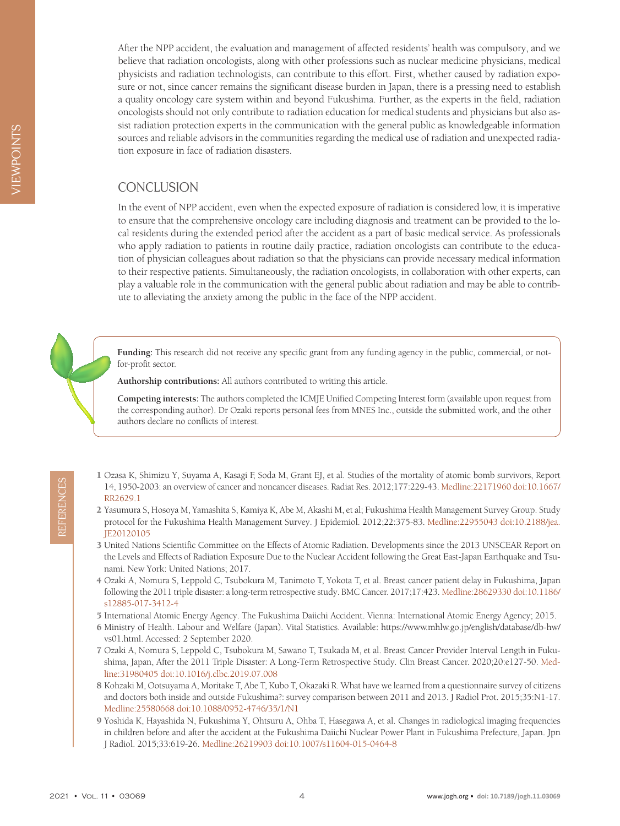After the NPP accident, the evaluation and management of affected residents' health was compulsory, and we believe that radiation oncologists, along with other professions such as nuclear medicine physicians, medical physicists and radiation technologists, can contribute to this effort. First, whether caused by radiation exposure or not, since cancer remains the significant disease burden in Japan, there is a pressing need to establish a quality oncology care system within and beyond Fukushima. Further, as the experts in the field, radiation oncologists should not only contribute to radiation education for medical students and physicians but also assist radiation protection experts in the communication with the general public as knowledgeable information sources and reliable advisors in the communities regarding the medical use of radiation and unexpected radiation exposure in face of radiation disasters.

## **CONCLUSION**

In the event of NPP accident, even when the expected exposure of radiation is considered low, it is imperative to ensure that the comprehensive oncology care including diagnosis and treatment can be provided to the local residents during the extended period after the accident as a part of basic medical service. As professionals who apply radiation to patients in routine daily practice, radiation oncologists can contribute to the education of physician colleagues about radiation so that the physicians can provide necessary medical information to their respective patients. Simultaneously, the radiation oncologists, in collaboration with other experts, can play a valuable role in the communication with the general public about radiation and may be able to contribute to alleviating the anxiety among the public in the face of the NPP accident.

**Funding:** This research did not receive any specific grant from any funding agency in the public, commercial, or notfor-profit sector.

**Authorship contributions:** All authors contributed to writing this article.

**Competing interests:** The authors completed the ICMJE Unified Competing Interest form (available upon request from the corresponding author). Dr Ozaki reports personal fees from MNES Inc., outside the submitted work, and the other authors declare no conflicts of interest.

- <span id="page-3-0"></span>1 Ozasa K, Shimizu Y, Suyama A, Kasagi F, Soda M, Grant EJ, et al. Studies of the mortality of atomic bomb survivors, Report 14, 1950-2003: an overview of cancer and noncancer diseases. Radiat Res. 2012;177:229-43. [Medline:22171960](https://www.ncbi.nlm.nih.gov/entrez/query.fcgi?cmd=Retrieve&db=PubMed&list_uids=22171960&dopt=Abstract) [doi:10.1667/](https://doi.org/10.1667/RR2629.1) [RR2629.1](https://doi.org/10.1667/RR2629.1)
- <span id="page-3-8"></span><span id="page-3-7"></span><span id="page-3-6"></span><span id="page-3-5"></span><span id="page-3-4"></span><span id="page-3-3"></span><span id="page-3-2"></span><span id="page-3-1"></span>2 Yasumura S, Hosoya M, Yamashita S, Kamiya K, Abe M, Akashi M, et al; Fukushima Health Management Survey Group. Study protocol for the Fukushima Health Management Survey. J Epidemiol. 2012;22:375-83. [Medline:22955043](https://www.ncbi.nlm.nih.gov/entrez/query.fcgi?cmd=Retrieve&db=PubMed&list_uids=22955043&dopt=Abstract) [doi:10.2188/jea.](https://doi.org/10.2188/jea.JE20120105) [JE20120105](https://doi.org/10.2188/jea.JE20120105)
- 21 1950-2003 an overview of cancer and noncancer diseases. Radiat Res. 2012;177:229-43. Medline:22171900 doi:10.1667/<br>
22 Research 85, Hossya M, Yamashita S, Kamiya K, Abe M, Akashi M, et al; Fukushima Health Manageme 3 United Nations Scientific Committee on the Effects of Atomic Radiation. Developments since the 2013 UNSCEAR Report on the Levels and Effects of Radiation Exposure Due to the Nuclear Accident following the Great East-Japan Earthquake and Tsunami. New York: United Nations; 2017.
	- 4 Ozaki A, Nomura S, Leppold C, Tsubokura M, Tanimoto T, Yokota T, et al. Breast cancer patient delay in Fukushima, Japan following the 2011 triple disaster: a long-term retrospective study. BMC Cancer. 2017;17:423. [Medline:28629330](https://www.ncbi.nlm.nih.gov/entrez/query.fcgi?cmd=Retrieve&db=PubMed&list_uids=28629330&dopt=Abstract) [doi:10.1186/](https://doi.org/10.1186/s12885-017-3412-4) [s12885-017-3412-4](https://doi.org/10.1186/s12885-017-3412-4)
	- 5 International Atomic Energy Agency. The Fukushima Daiichi Accident. Vienna: International Atomic Energy Agency; 2015.
	- 6 Ministry of Health. Labour and Welfare (Japan). Vital Statistics. Available: [https://www.mhlw.go.jp/english/database/db-hw/](https://www.mhlw.go.jp/english/database/db-hw/vs01.html) [vs01.html](https://www.mhlw.go.jp/english/database/db-hw/vs01.html). Accessed: 2 September 2020.
	- 7 Ozaki A, Nomura S, Leppold C, Tsubokura M, Sawano T, Tsukada M, et al. Breast Cancer Provider Interval Length in Fukushima, Japan, After the 2011 Triple Disaster: A Long-Term Retrospective Study. Clin Breast Cancer. 2020;20:e127-50. [Med](https://www.ncbi.nlm.nih.gov/entrez/query.fcgi?cmd=Retrieve&db=PubMed&list_uids=31980405&dopt=Abstract)[line:31980405](https://www.ncbi.nlm.nih.gov/entrez/query.fcgi?cmd=Retrieve&db=PubMed&list_uids=31980405&dopt=Abstract) [doi:10.1016/j.clbc.2019.07.008](https://doi.org/10.1016/j.clbc.2019.07.008)
	- 8 Kohzaki M, Ootsuyama A, Moritake T, Abe T, Kubo T, Okazaki R. What have we learned from a questionnaire survey of citizens and doctors both inside and outside Fukushima?: survey comparison between 2011 and 2013. J Radiol Prot. 2015;35:N1-17. [Medline:25580668](https://www.ncbi.nlm.nih.gov/entrez/query.fcgi?cmd=Retrieve&db=PubMed&list_uids=25580668&dopt=Abstract) [doi:10.1088/0952-4746/35/1/N1](https://doi.org/10.1088/0952-4746/35/1/N1)
	- 9 Yoshida K, Hayashida N, Fukushima Y, Ohtsuru A, Ohba T, Hasegawa A, et al. Changes in radiological imaging frequencies in children before and after the accident at the Fukushima Daiichi Nuclear Power Plant in Fukushima Prefecture, Japan. Jpn J Radiol. 2015;33:619-26. [Medline:26219903](https://www.ncbi.nlm.nih.gov/entrez/query.fcgi?cmd=Retrieve&db=PubMed&list_uids=26219903&dopt=Abstract) [doi:10.1007/s11604-015-0464-8](https://doi.org/10.1007/s11604-015-0464-8)